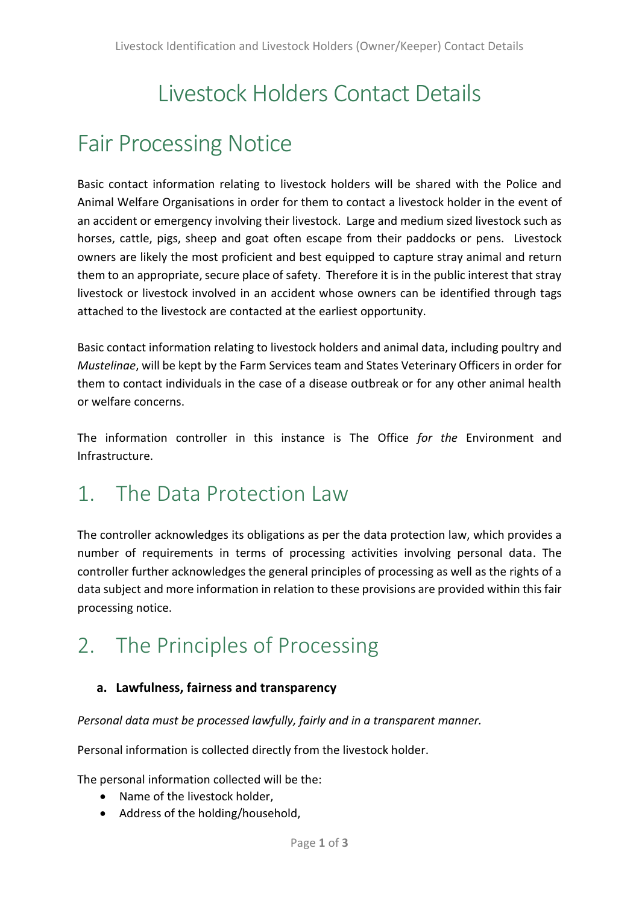# Livestock Holders Contact Details

## Fair Processing Notice

Basic contact information relating to livestock holders will be shared with the Police and Animal Welfare Organisations in order for them to contact a livestock holder in the event of an accident or emergency involving their livestock. Large and medium sized livestock such as horses, cattle, pigs, sheep and goat often escape from their paddocks or pens. Livestock owners are likely the most proficient and best equipped to capture stray animal and return them to an appropriate, secure place of safety. Therefore it is in the public interest that stray livestock or livestock involved in an accident whose owners can be identified through tags attached to the livestock are contacted at the earliest opportunity.

Basic contact information relating to livestock holders and animal data, including poultry and *Mustelinae*, will be kept by the Farm Services team and States Veterinary Officers in order for them to contact individuals in the case of a disease outbreak or for any other animal health or welfare concerns.

The information controller in this instance is The Office *for the* Environment and Infrastructure.

### 1. The Data Protection Law

The controller acknowledges its obligations as per the data protection law, which provides a number of requirements in terms of processing activities involving personal data. The controller further acknowledges the general principles of processing as well as the rights of a data subject and more information in relation to these provisions are provided within this fair processing notice.

## 2. The Principles of Processing

#### **a. Lawfulness, fairness and transparency**

*Personal data must be processed lawfully, fairly and in a transparent manner.*

Personal information is collected directly from the livestock holder.

The personal information collected will be the:

- Name of the livestock holder,
- Address of the holding/household,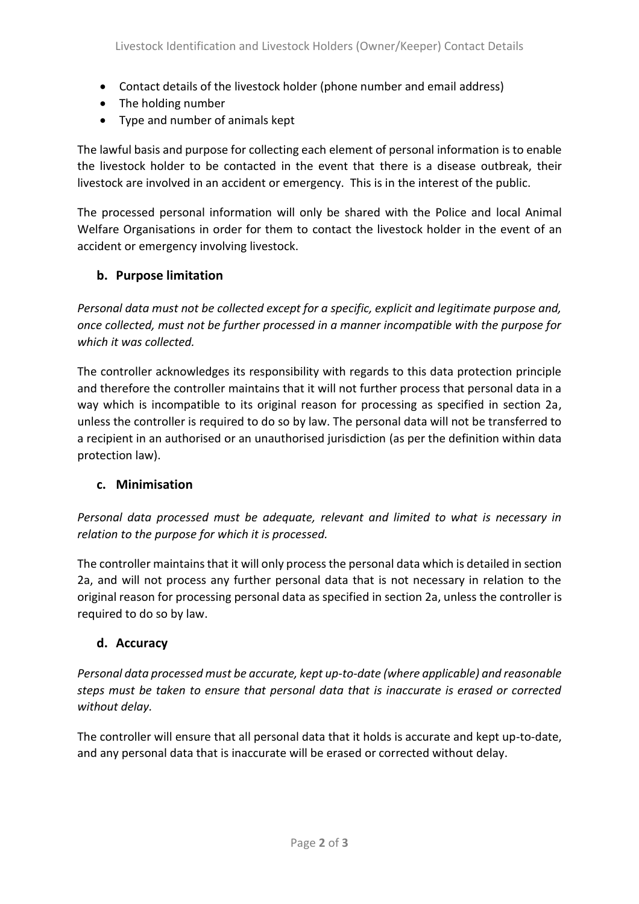- Contact details of the livestock holder (phone number and email address)
- The holding number
- Type and number of animals kept

The lawful basis and purpose for collecting each element of personal information is to enable the livestock holder to be contacted in the event that there is a disease outbreak, their livestock are involved in an accident or emergency. This is in the interest of the public.

The processed personal information will only be shared with the Police and local Animal Welfare Organisations in order for them to contact the livestock holder in the event of an accident or emergency involving livestock.

#### **b. Purpose limitation**

*Personal data must not be collected except for a specific, explicit and legitimate purpose and, once collected, must not be further processed in a manner incompatible with the purpose for which it was collected.* 

The controller acknowledges its responsibility with regards to this data protection principle and therefore the controller maintains that it will not further process that personal data in a way which is incompatible to its original reason for processing as specified in section 2a, unless the controller is required to do so by law. The personal data will not be transferred to a recipient in an authorised or an unauthorised jurisdiction (as per the definition within data protection law).

#### **c. Minimisation**

*Personal data processed must be adequate, relevant and limited to what is necessary in relation to the purpose for which it is processed.* 

The controller maintains that it will only process the personal data which is detailed in section 2a, and will not process any further personal data that is not necessary in relation to the original reason for processing personal data as specified in section 2a, unless the controller is required to do so by law.

#### **d. Accuracy**

*Personal data processed must be accurate, kept up-to-date (where applicable) and reasonable steps must be taken to ensure that personal data that is inaccurate is erased or corrected without delay.* 

The controller will ensure that all personal data that it holds is accurate and kept up-to-date, and any personal data that is inaccurate will be erased or corrected without delay.